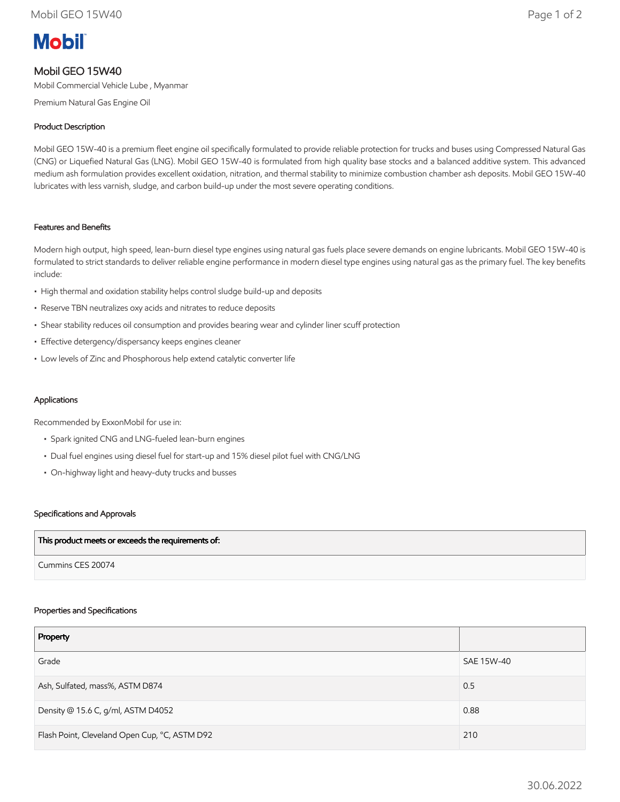# **Mobil**

## Mobil GEO 15W40

Mobil Commercial Vehicle Lube , Myanmar

Premium Natural Gas Engine Oil

### Product Description

Mobil GEO 15W-40 is a premium fleet engine oil specifically formulated to provide reliable protection for trucks and buses using Compressed Natural Gas (CNG) or Liquefied Natural Gas (LNG). Mobil GEO 15W-40 is formulated from high quality base stocks and a balanced additive system. This advanced medium ash formulation provides excellent oxidation, nitration, and thermal stability to minimize combustion chamber ash deposits. Mobil GEO 15W-40 lubricates with less varnish, sludge, and carbon build-up under the most severe operating conditions.

#### Features and Benefits

Modern high output, high speed, lean-burn diesel type engines using natural gas fuels place severe demands on engine lubricants. Mobil GEO 15W-40 is formulated to strict standards to deliver reliable engine performance in modern diesel type engines using natural gas as the primary fuel. The key benefits include:

- High thermal and oxidation stability helps control sludge build-up and deposits
- Reserve TBN neutralizes oxy acids and nitrates to reduce deposits
- Shear stability reduces oil consumption and provides bearing wear and cylinder liner scuff protection
- Effective detergency/dispersancy keeps engines cleaner
- Low levels of Zinc and Phosphorous help extend catalytic converter life

#### Applications

Recommended by ExxonMobil for use in:

- Spark ignited CNG and LNG-fueled lean-burn engines
- Dual fuel engines using diesel fuel for start-up and 15% diesel pilot fuel with CNG/LNG
- On-highway light and heavy-duty trucks and busses

#### Specifications and Approvals

| This product meets or exceeds the requirements of: |  |
|----------------------------------------------------|--|
| Cummins CES 20074                                  |  |

#### Properties and Specifications

| Property                                      |            |
|-----------------------------------------------|------------|
| Grade                                         | SAE 15W-40 |
| Ash, Sulfated, mass%, ASTM D874               | 0.5        |
| Density @ 15.6 C, g/ml, ASTM D4052            | 0.88       |
| Flash Point, Cleveland Open Cup, °C, ASTM D92 | 210        |